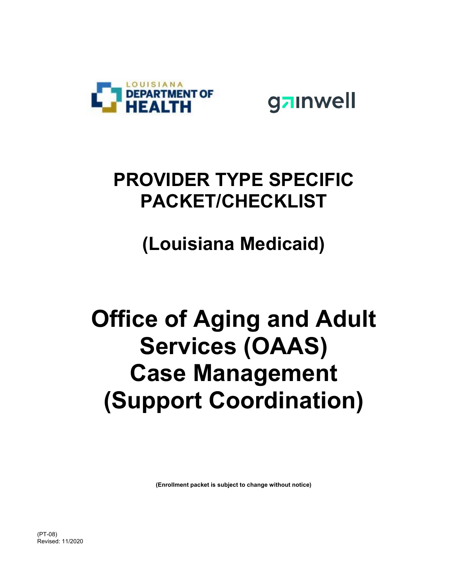

gainwell

## **PROVIDER TYPE SPECIFIC PACKET/CHECKLIST**

**(Louisiana Medicaid)** 

# **Office of Aging and Adult Services (OAAS) Case Management (Support Coordination)**

**(Enrollment packet is subject to change without notice)**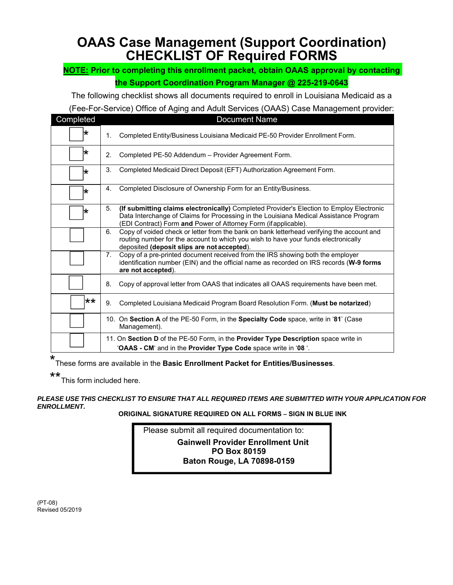### **OAAS Case Management (Support Coordination) CHECKLIST OF Required FORMS**

#### **NOTE: Prior to completing this enrollment packet, obtain OAAS approval by contacting the Support Coordination Program Manager @ 225-219-0643**

The following checklist shows all documents required to enroll in Louisiana Medicaid as a

#### (Fee-For-Service) Office of Aging and Adult Services (OAAS) Case Management provider:

| Completed | <b>Document Name</b>                                                                                                                                                                                                                                       |
|-----------|------------------------------------------------------------------------------------------------------------------------------------------------------------------------------------------------------------------------------------------------------------|
| ★         | Completed Entity/Business Louisiana Medicaid PE-50 Provider Enrollment Form.<br>1.                                                                                                                                                                         |
| ₩         | $\mathbf{2}$ .<br>Completed PE-50 Addendum - Provider Agreement Form.                                                                                                                                                                                      |
| ★         | 3.<br>Completed Medicaid Direct Deposit (EFT) Authorization Agreement Form.                                                                                                                                                                                |
| ∗         | Completed Disclosure of Ownership Form for an Entity/Business.<br>4.                                                                                                                                                                                       |
| ★         | 5.<br>(If submitting claims electronically) Completed Provider's Election to Employ Electronic<br>Data Interchange of Claims for Processing in the Louisiana Medical Assistance Program<br>(EDI Contract) Form and Power of Attorney Form (if applicable). |
|           | Copy of voided check or letter from the bank on bank letterhead verifying the account and<br>6.<br>routing number for the account to which you wish to have your funds electronically<br>deposited (deposit slips are not accepted).                       |
|           | Copy of a pre-printed document received from the IRS showing both the employer<br>7.<br>identification number (EIN) and the official name as recorded on IRS records (W-9 forms<br>are not accepted).                                                      |
|           | 8.<br>Copy of approval letter from OAAS that indicates all OAAS requirements have been met.                                                                                                                                                                |
| $***$     | 9.<br>Completed Louisiana Medicaid Program Board Resolution Form. (Must be notarized)                                                                                                                                                                      |
|           | 10. On Section A of the PE-50 Form, in the Specialty Code space, write in '81' (Case<br>Management).                                                                                                                                                       |
|           | 11. On Section D of the PE-50 Form, in the Provider Type Description space write in<br>'OAAS - CM' and in the Provider Type Code space write in '08 '.                                                                                                     |

\* These forms are available in the **Basic Enrollment Packet for Entities/Businesses**.

\*\* This form included here.

#### *PLEASE USE THIS CHECKLIST TO ENSURE THAT ALL REQUIRED ITEMS ARE SUBMITTED WITH YOUR APPLICATION FOR ENROLLMENT.*

**ORIGINAL SIGNATURE REQUIRED ON ALL FORMS – SIGN IN BLUE INK**

 Please submit all required documentation to: **Gainwell Provider Enrollment Unit PO Box 80159 Baton Rouge, LA 70898-0159** 

(PT-08) Revised 05/2019